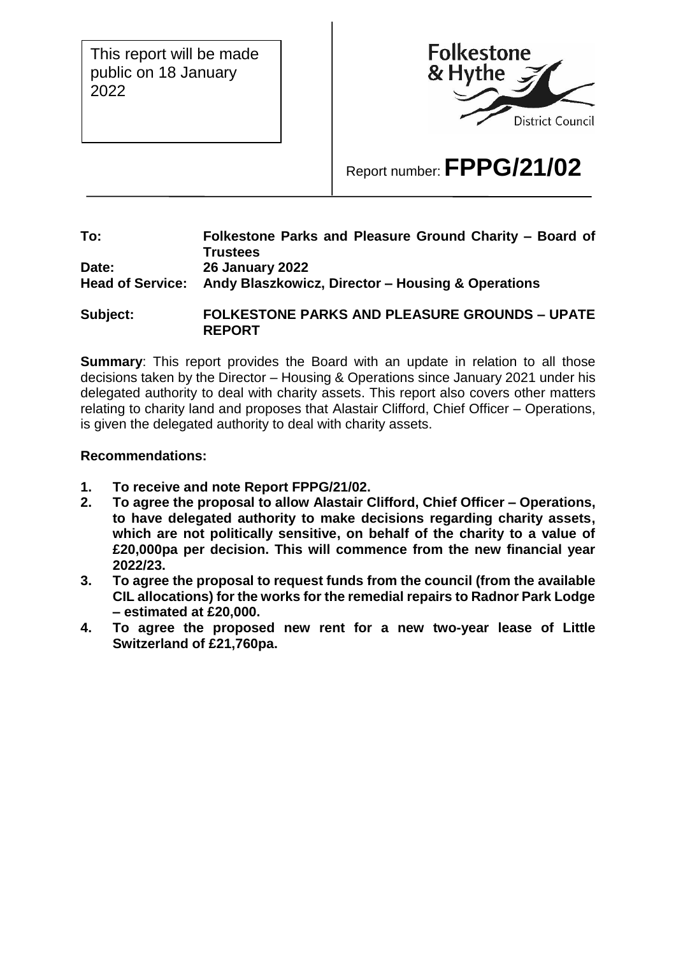This report will be made public on 18 January 2022



# Report number: **FPPG/21/02**

#### **To: Folkestone Parks and Pleasure Ground Charity – Board of Trustees Date: 26 January 2022 Head of Service: Andy Blaszkowicz, Director – Housing & Operations**

**Subject: FOLKESTONE PARKS AND PLEASURE GROUNDS – UPATE REPORT**

**Summary:** This report provides the Board with an update in relation to all those decisions taken by the Director – Housing & Operations since January 2021 under his delegated authority to deal with charity assets. This report also covers other matters relating to charity land and proposes that Alastair Clifford, Chief Officer – Operations, is given the delegated authority to deal with charity assets.

### **Recommendations:**

- **1. To receive and note Report FPPG/21/02.**
- **2. To agree the proposal to allow Alastair Clifford, Chief Officer – Operations, to have delegated authority to make decisions regarding charity assets, which are not politically sensitive, on behalf of the charity to a value of £20,000pa per decision. This will commence from the new financial year 2022/23.**
- **3. To agree the proposal to request funds from the council (from the available CIL allocations) for the works for the remedial repairs to Radnor Park Lodge – estimated at £20,000.**
- **4. To agree the proposed new rent for a new two-year lease of Little Switzerland of £21,760pa.**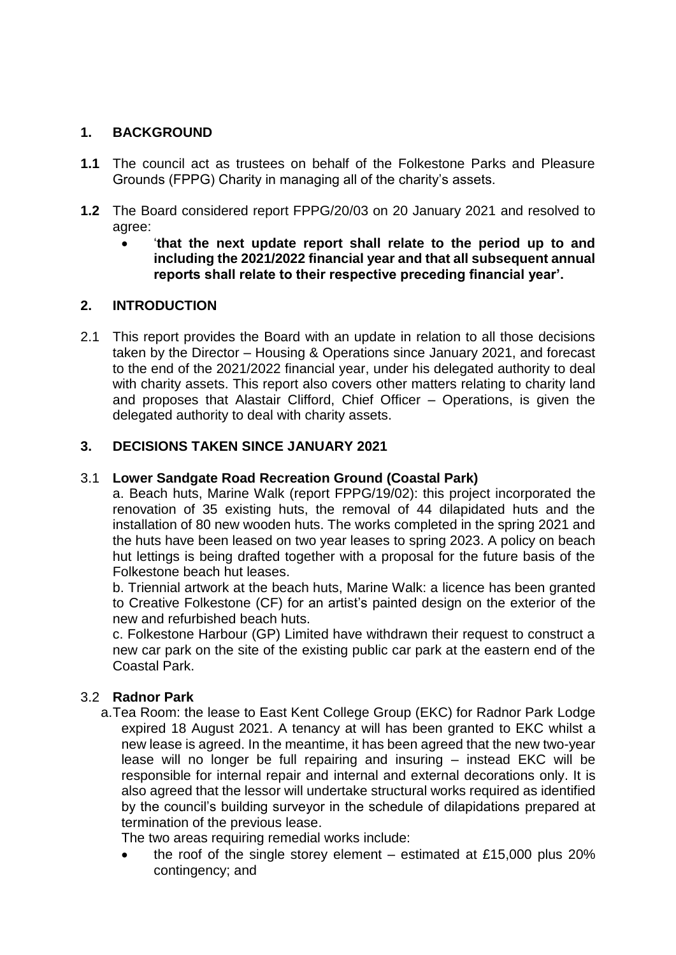# **1. BACKGROUND**

- **1.1** The council act as trustees on behalf of the Folkestone Parks and Pleasure Grounds (FPPG) Charity in managing all of the charity's assets.
- **1.2** The Board considered report FPPG/20/03 on 20 January 2021 and resolved to agree:
	- '**that the next update report shall relate to the period up to and including the 2021/2022 financial year and that all subsequent annual reports shall relate to their respective preceding financial year'.**

# **2. INTRODUCTION**

2.1 This report provides the Board with an update in relation to all those decisions taken by the Director – Housing & Operations since January 2021, and forecast to the end of the 2021/2022 financial year, under his delegated authority to deal with charity assets. This report also covers other matters relating to charity land and proposes that Alastair Clifford, Chief Officer – Operations, is given the delegated authority to deal with charity assets.

# **3. DECISIONS TAKEN SINCE JANUARY 2021**

## 3.1 **Lower Sandgate Road Recreation Ground (Coastal Park)**

a. Beach huts, Marine Walk (report FPPG/19/02): this project incorporated the renovation of 35 existing huts, the removal of 44 dilapidated huts and the installation of 80 new wooden huts. The works completed in the spring 2021 and the huts have been leased on two year leases to spring 2023. A policy on beach hut lettings is being drafted together with a proposal for the future basis of the Folkestone beach hut leases.

b. Triennial artwork at the beach huts, Marine Walk: a licence has been granted to Creative Folkestone (CF) for an artist's painted design on the exterior of the new and refurbished beach huts.

c. Folkestone Harbour (GP) Limited have withdrawn their request to construct a new car park on the site of the existing public car park at the eastern end of the Coastal Park.

# 3.2 **Radnor Park**

a.Tea Room: the lease to East Kent College Group (EKC) for Radnor Park Lodge expired 18 August 2021. A tenancy at will has been granted to EKC whilst a new lease is agreed. In the meantime, it has been agreed that the new two-year lease will no longer be full repairing and insuring – instead EKC will be responsible for internal repair and internal and external decorations only. It is also agreed that the lessor will undertake structural works required as identified by the council's building surveyor in the schedule of dilapidations prepared at termination of the previous lease.

The two areas requiring remedial works include:

 the roof of the single storey element – estimated at £15,000 plus 20% contingency; and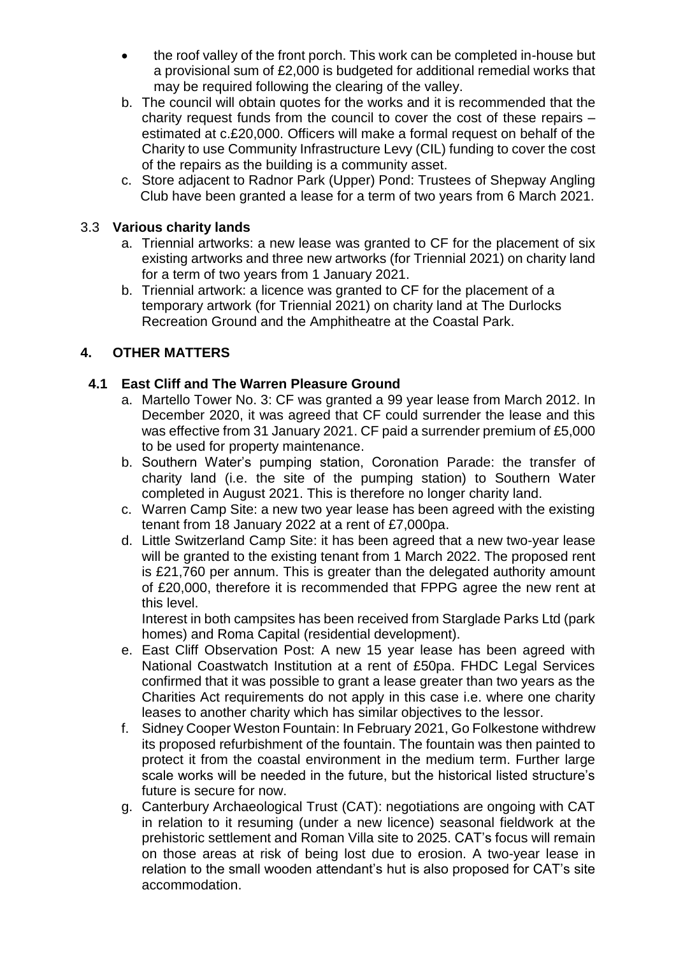- the roof valley of the front porch. This work can be completed in-house but a provisional sum of £2,000 is budgeted for additional remedial works that may be required following the clearing of the valley.
- b. The council will obtain quotes for the works and it is recommended that the charity request funds from the council to cover the cost of these repairs – estimated at c.£20,000. Officers will make a formal request on behalf of the Charity to use Community Infrastructure Levy (CIL) funding to cover the cost of the repairs as the building is a community asset.
- c. Store adjacent to Radnor Park (Upper) Pond: Trustees of Shepway Angling Club have been granted a lease for a term of two years from 6 March 2021.

## 3.3 **Various charity lands**

- a. Triennial artworks: a new lease was granted to CF for the placement of six existing artworks and three new artworks (for Triennial 2021) on charity land for a term of two years from 1 January 2021.
- b. Triennial artwork: a licence was granted to CF for the placement of a temporary artwork (for Triennial 2021) on charity land at The Durlocks Recreation Ground and the Amphitheatre at the Coastal Park.

# **4. OTHER MATTERS**

### **4.1 East Cliff and The Warren Pleasure Ground**

- a. Martello Tower No. 3: CF was granted a 99 year lease from March 2012. In December 2020, it was agreed that CF could surrender the lease and this was effective from 31 January 2021. CF paid a surrender premium of £5,000 to be used for property maintenance.
- b. Southern Water's pumping station, Coronation Parade: the transfer of charity land (i.e. the site of the pumping station) to Southern Water completed in August 2021. This is therefore no longer charity land.
- c. Warren Camp Site: a new two year lease has been agreed with the existing tenant from 18 January 2022 at a rent of £7,000pa.
- d. Little Switzerland Camp Site: it has been agreed that a new two-year lease will be granted to the existing tenant from 1 March 2022. The proposed rent is £21,760 per annum. This is greater than the delegated authority amount of £20,000, therefore it is recommended that FPPG agree the new rent at this level.

Interest in both campsites has been received from Starglade Parks Ltd (park homes) and Roma Capital (residential development).

- e. East Cliff Observation Post: A new 15 year lease has been agreed with National Coastwatch Institution at a rent of £50pa. FHDC Legal Services confirmed that it was possible to grant a lease greater than two years as the Charities Act requirements do not apply in this case i.e. where one charity leases to another charity which has similar objectives to the lessor.
- f. Sidney Cooper Weston Fountain: In February 2021, Go Folkestone withdrew its proposed refurbishment of the fountain. The fountain was then painted to protect it from the coastal environment in the medium term. Further large scale works will be needed in the future, but the historical listed structure's future is secure for now.
- g. Canterbury Archaeological Trust (CAT): negotiations are ongoing with CAT in relation to it resuming (under a new licence) seasonal fieldwork at the prehistoric settlement and Roman Villa site to 2025. CAT's focus will remain on those areas at risk of being lost due to erosion. A two-year lease in relation to the small wooden attendant's hut is also proposed for CAT's site accommodation.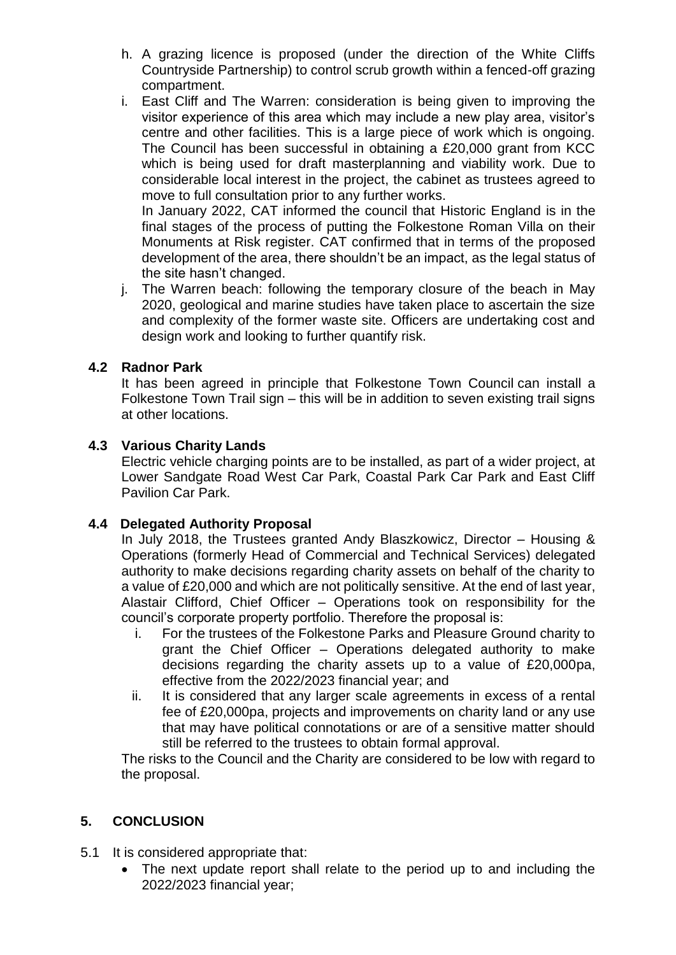- h. A grazing licence is proposed (under the direction of the White Cliffs Countryside Partnership) to control scrub growth within a fenced-off grazing compartment.
- i. East Cliff and The Warren: consideration is being given to improving the visitor experience of this area which may include a new play area, visitor's centre and other facilities. This is a large piece of work which is ongoing. The Council has been successful in obtaining a £20,000 grant from KCC which is being used for draft masterplanning and viability work. Due to considerable local interest in the project, the cabinet as trustees agreed to move to full consultation prior to any further works.

In January 2022, CAT informed the council that Historic England is in the final stages of the process of putting the Folkestone Roman Villa on their Monuments at Risk register. CAT confirmed that in terms of the proposed development of the area, there shouldn't be an impact, as the legal status of the site hasn't changed.

j. The Warren beach: following the temporary closure of the beach in May 2020, geological and marine studies have taken place to ascertain the size and complexity of the former waste site. Officers are undertaking cost and design work and looking to further quantify risk.

### **4.2 Radnor Park**

It has been agreed in principle that Folkestone Town Council can install a Folkestone Town Trail sign – this will be in addition to seven existing trail signs at other locations.

### **4.3 Various Charity Lands**

Electric vehicle charging points are to be installed, as part of a wider project, at Lower Sandgate Road West Car Park, Coastal Park Car Park and East Cliff Pavilion Car Park.

#### **4.4 Delegated Authority Proposal**

In July 2018, the Trustees granted Andy Blaszkowicz, Director – Housing & Operations (formerly Head of Commercial and Technical Services) delegated authority to make decisions regarding charity assets on behalf of the charity to a value of £20,000 and which are not politically sensitive. At the end of last year, Alastair Clifford, Chief Officer – Operations took on responsibility for the council's corporate property portfolio. Therefore the proposal is:

- i. For the trustees of the Folkestone Parks and Pleasure Ground charity to grant the Chief Officer – Operations delegated authority to make decisions regarding the charity assets up to a value of £20,000pa, effective from the 2022/2023 financial year; and
- ii. It is considered that any larger scale agreements in excess of a rental fee of £20,000pa, projects and improvements on charity land or any use that may have political connotations or are of a sensitive matter should still be referred to the trustees to obtain formal approval.

The risks to the Council and the Charity are considered to be low with regard to the proposal.

# **5. CONCLUSION**

- 5.1 It is considered appropriate that:
	- The next update report shall relate to the period up to and including the 2022/2023 financial year;